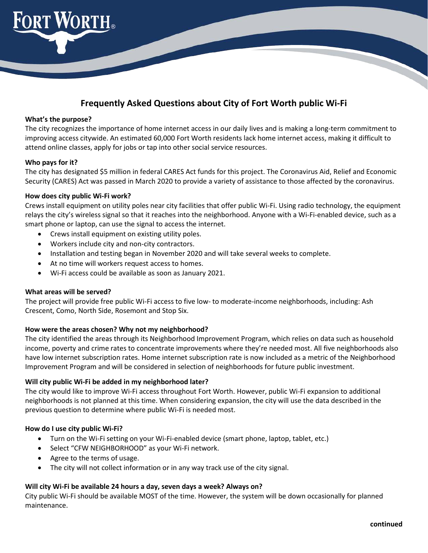

# **Frequently Asked Questions about City of Fort Worth public Wi-Fi**

#### **What's the purpose?**

The city recognizes the importance of home internet access in our daily lives and is making a long-term commitment to improving access citywide. An estimated 60,000 Fort Worth residents lack home internet access, making it difficult to attend online classes, apply for jobs or tap into other social service resources.

## **Who pays for it?**

The city has designated \$5 million in federal CARES Act funds for this project. The Coronavirus Aid, Relief and Economic Security (CARES) Act was passed in March 2020 to provide a variety of assistance to those affected by the coronavirus.

## **How does city public Wi-Fi work?**

Crews install equipment on utility poles near city facilities that offer public Wi-Fi. Using radio technology, the equipment relays the city's wireless signal so that it reaches into the neighborhood. Anyone with a Wi-Fi-enabled device, such as a smart phone or laptop, can use the signal to access the internet.

- Crews install equipment on existing utility poles.
- Workers include city and non-city contractors.
- Installation and testing began in November 2020 and will take several weeks to complete.
- At no time will workers request access to homes.
- Wi-Fi access could be available as soon as January 2021.

#### **What areas will be served?**

The project will provide free public Wi-Fi access to five low- to moderate-income neighborhoods, including: Ash Crescent, Como, North Side, Rosemont and Stop Six.

## **How were the areas chosen? Why not my neighborhood?**

The city identified the areas through its Neighborhood Improvement Program, which relies on data such as household income, poverty and crime rates to concentrate improvements where they're needed most. All five neighborhoods also have low internet subscription rates. Home internet subscription rate is now included as a metric of the Neighborhood Improvement Program and will be considered in selection of neighborhoods for future public investment.

#### **Will city public Wi-Fi be added in my neighborhood later?**

The city would like to improve Wi-Fi access throughout Fort Worth. However, public Wi-Fi expansion to additional neighborhoods is not planned at this time. When considering expansion, the city will use the data described in the previous question to determine where public Wi-Fi is needed most.

## **How do I use city public Wi-Fi?**

- Turn on the Wi-Fi setting on your Wi-Fi-enabled device (smart phone, laptop, tablet, etc.)
- Select "CFW NEIGHBORHOOD" as your Wi-Fi network.
- Agree to the terms of usage.
- The city will not collect information or in any way track use of the city signal.

#### **Will city Wi-Fi be available 24 hours a day, seven days a week? Always on?**

City public Wi-Fi should be available MOST of the time. However, the system will be down occasionally for planned maintenance.